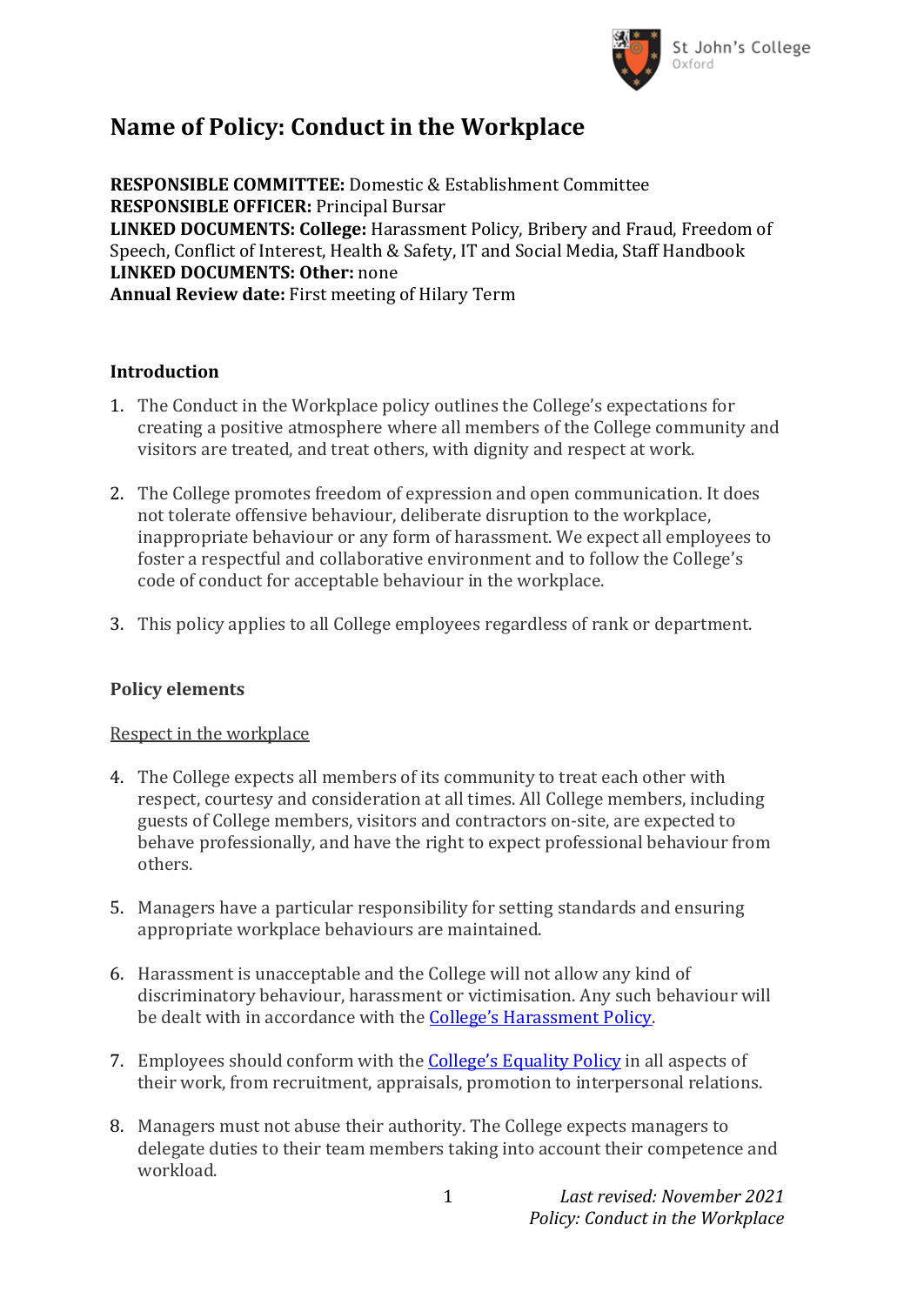

# **Name of Policy: Conduct in the Workplace**

**RESPONSIBLE COMMITTEE:** Domestic & Establishment Committee **RESPONSIBLE OFFICER:** Principal Bursar **LINKED DOCUMENTS: College:** Harassment Policy, Bribery and Fraud, Freedom of Speech, Conflict of Interest, Health & Safety, IT and Social Media, Staff Handbook **LINKED DOCUMENTS: Other:** none **Annual Review date:** First meeting of Hilary Term

### **Introduction**

- 1. The Conduct in the Workplace policy outlines the College's expectations for creating a positive atmosphere where all members of the College community and visitors are treated, and treat others, with dignity and respect at work.
- 2. The College promotes freedom of expression and open communication. It does not tolerate offensive behaviour, deliberate disruption to the workplace, inappropriate behaviour or any form of harassment. We expect all employees to foster a respectful and collaborative environment and to follow the College's code of conduct for acceptable behaviour in the workplace.
- 3. This policy applies to all College employees regardless of rank or department.

#### **Policy elements**

#### Respect in the workplace

- 4. The College expects all members of its community to treat each other with respect, courtesy and consideration at all times. All College members, including guests of College members, visitors and contractors on-site, are expected to behave professionally, and have the right to expect professional behaviour from others.
- 5. Managers have a particular responsibility for setting standards and ensuring appropriate workplace behaviours are maintained.
- 6. Harassment is unacceptable and the College will not allow any kind of discriminatory behaviour, harassment or victimisation. Any such behaviour will be dealt with in accordance with the [College's Harassment Policy](https://www.sjc.ox.ac.uk/discover/about-college/legal/college-policies/).
- 7. Employees should conform with the **College's Eq[uality Policy](https://www.sjc.ox.ac.uk/discover/about-college/legal/college-policies/)** in all aspects of their work, from recruitment, appraisals, promotion to interpersonal relations.
- 8. Managers must not abuse their authority. The College expects managers to delegate duties to their team members taking into account their competence and workload.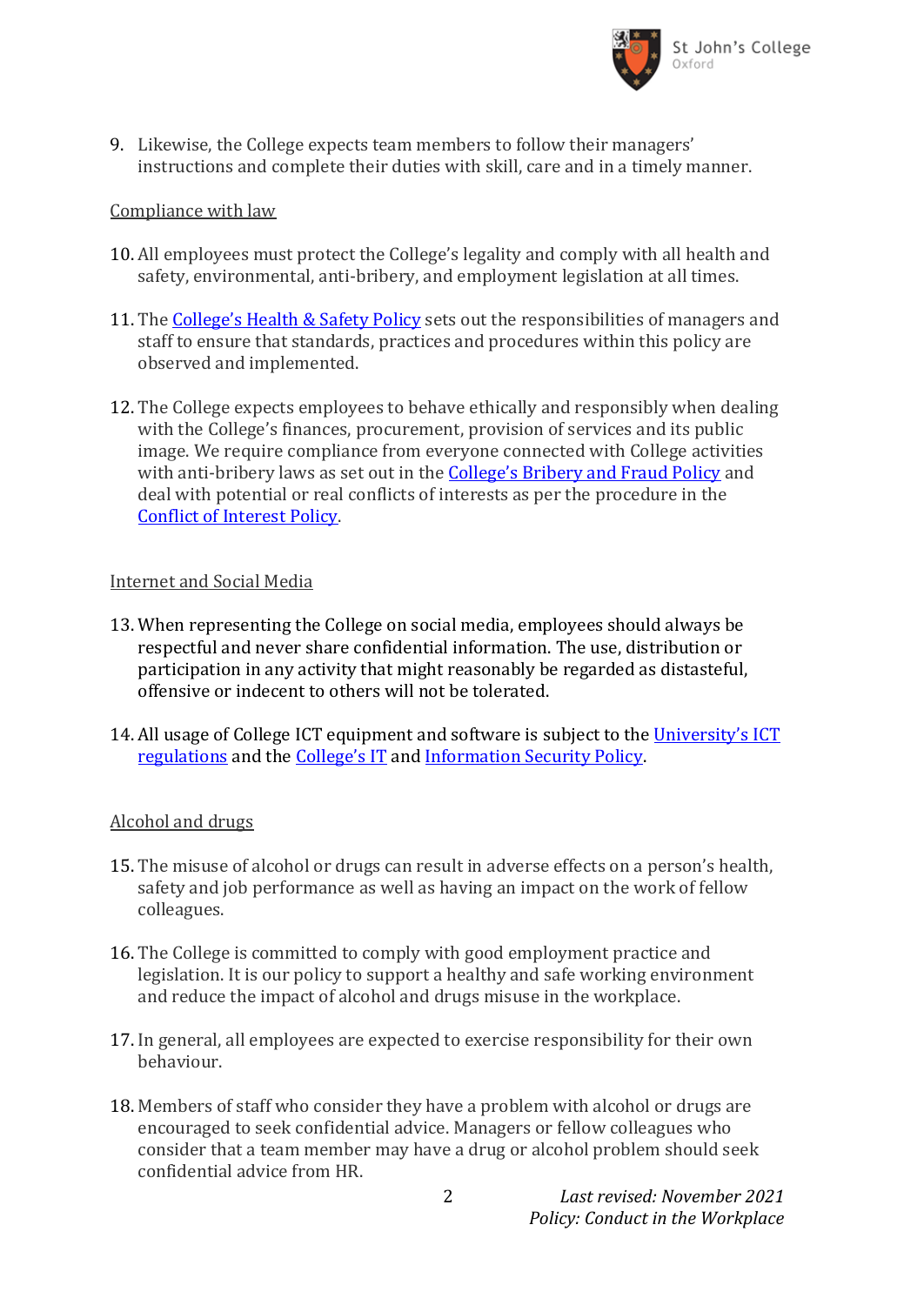

9. Likewise, the College expects team members to follow their managers' instructions and complete their duties with skill, care and in a timely manner.

### Compliance with law

- 10. All employees must protect the College's legality and comply with all health and safety, environmental, anti-bribery, and employment legislation at all times.
- 11. The [College's Health & Safety Policy](https://www.sjc.ox.ac.uk/discover/about-college/legal/college-policies/) sets out the responsibilities of managers and staff to ensure that standards, practices and procedures within this policy are observed and implemented.
- 12. The College expects employees to behave ethically and responsibly when dealing with the College's finances, procurement, provision of services and its public image. We require compliance from everyone connected with College activities with anti-bribery laws as set out in the [College's Bribery and Fraud Policy](https://www.sjc.ox.ac.uk/discover/about-college/legal/college-policies/) and deal with potential or real conflicts of interests as per the procedure in the [Conflict of Interest Policy.](https://www.sjc.ox.ac.uk/discover/about-college/legal/college-policies/)

#### Internet and Social Media

- 13. When representing the College on social media, employees should always be respectful and never share confidential information. The use, distribution or participation in any activity that might reasonably be regarded as distasteful, offensive or indecent to others will not be tolerated.
- 14. All usage of College ICT equipment and software is subject to the [Univers](https://governance.admin.ox.ac.uk/legislation/it-regulations-1-of-2002)ity's ICT [regulations](https://governance.admin.ox.ac.uk/legislation/it-regulations-1-of-2002) and the [College's I](https://www.sjc.ox.ac.uk/discover/about-college/legal/college-policies/)T and [Information Security Policy.](https://www.sjc.ox.ac.uk/discover/about-college/legal/college-policies/)

#### Alcohol and drugs

- 15. The misuse of alcohol or drugs can result in adverse effects on a person's health, safety and job performance as well as having an impact on the work of fellow colleagues.
- 16. The College is committed to comply with good employment practice and legislation. It is our policy to support a healthy and safe working environment and reduce the impact of alcohol and drugs misuse in the workplace.
- 17. In general, all employees are expected to exercise responsibility for their own behaviour.
- 18. Members of staff who consider they have a problem with alcohol or drugs are encouraged to seek confidential advice. Managers or fellow colleagues who consider that a team member may have a drug or alcohol problem should seek confidential advice from HR.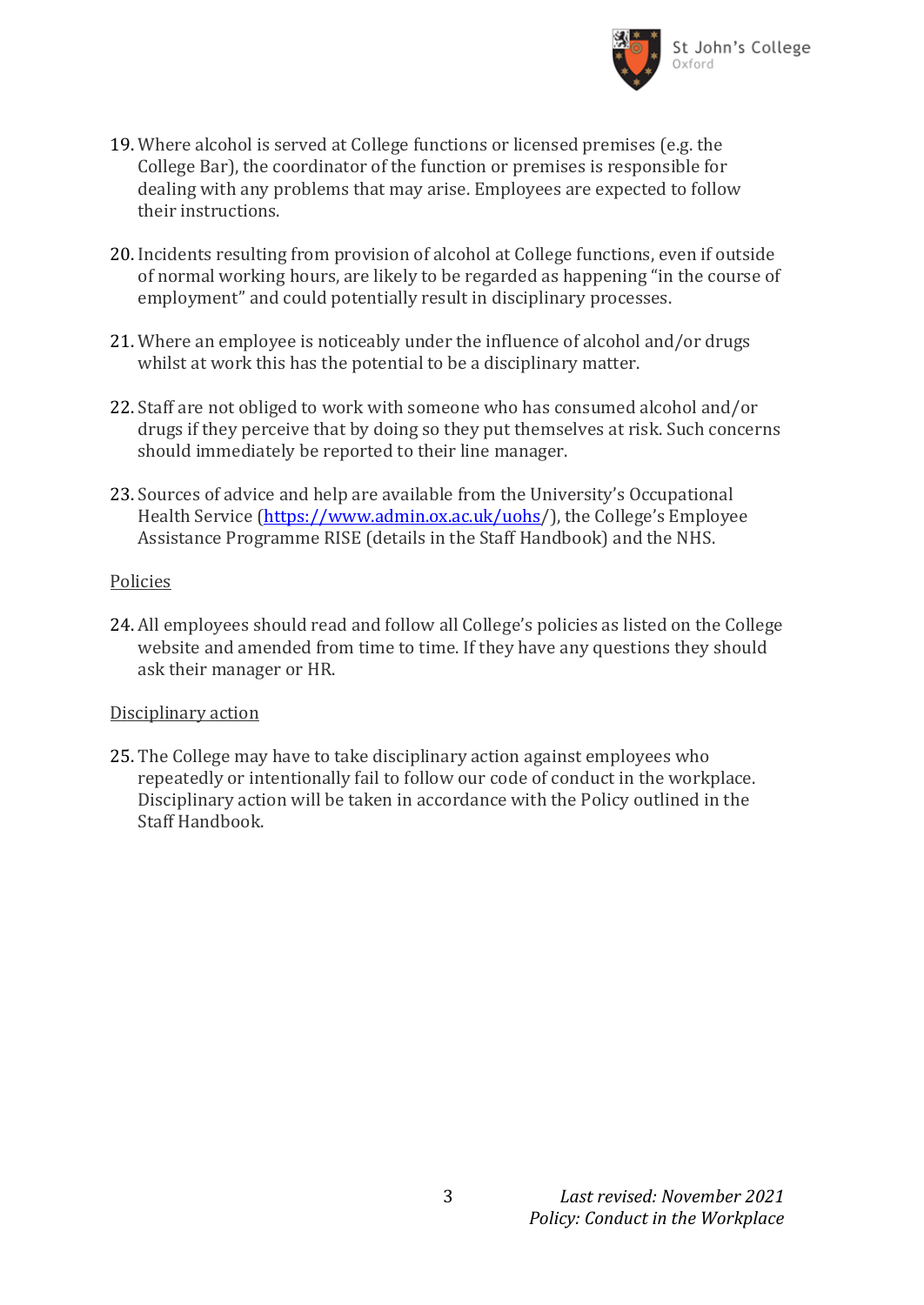

- 19. Where alcohol is served at College functions or licensed premises (e.g. the College Bar), the coordinator of the function or premises is responsible for dealing with any problems that may arise. Employees are expected to follow their instructions.
- 20. Incidents resulting from provision of alcohol at College functions, even if outside of normal working hours, are likely to be regarded as happening "in the course of employment" and could potentially result in disciplinary processes.
- 21. Where an employee is noticeably under the influence of alcohol and/or drugs whilst at work this has the potential to be a disciplinary matter.
- 22. Staff are not obliged to work with someone who has consumed alcohol and/or drugs if they perceive that by doing so they put themselves at risk. Such concerns should immediately be reported to their line manager.
- 23. Sources of advice and help are available from the University's Occupational Health Service [\(https://www.admin.ox.ac.uk/uohs/](https://www.admin.ox.ac.uk/uohs)), the College's Employee Assistance Programme RISE (details in the Staff Handbook) and the NHS.

#### Policies

24. All employees should read and follow all College's policies as listed on the College website and amended from time to time. If they have any questions they should ask their manager or HR.

#### Disciplinary action

25. The College may have to take disciplinary action against employees who repeatedly or intentionally fail to follow our code of conduct in the workplace. Disciplinary action will be taken in accordance with the Policy outlined in the Staff Handbook.